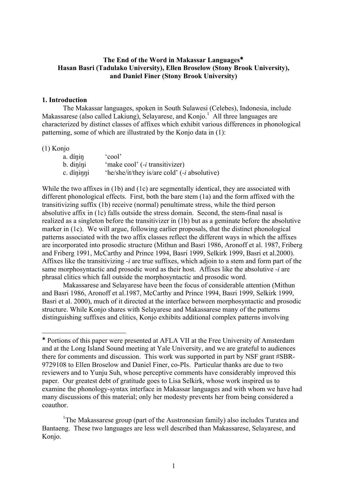### **The End of the Word in Makassar Languages**! **Hasan Basri (Tadulako University), Ellen Broselow (Stony Brook University), and Daniel Finer (Stony Brook University)**

#### **1. Introduction**

The Makassar languages, spoken in South Sulawesi (Celebes), Indonesia, include Makassarese (also called Lakiung), Selayarese, and Konjo.<sup>1</sup> All three languages are characterized by distinct classes of affixes which exhibit various differences in phonological patterning, some of which are illustrated by the Konjo data in (1):

#### (1) Konjo

 $\overline{a}$ 

| a. dínin   | cool'                                                |
|------------|------------------------------------------------------|
| b. diníni  | 'make cool' ( <i>-i</i> transitivizer)               |
| c. díninni | 'he/she/it/they is/are cold' (- <i>i</i> absolutive) |

While the two affixes in (1b) and (1c) are segmentally identical, they are associated with different phonological effects. First, both the bare stem (1a) and the form affixed with the transitivizing suffix (1b) receive (normal) penultimate stress, while the third person absolutive affix in (1c) falls outside the stress domain. Second, the stem-final nasal is realized as a singleton before the transitivizer in (1b) but as a geminate before the absolutive marker in (1c). We will argue, following earlier proposals, that the distinct phonological patterns associated with the two affix classes reflect the different ways in which the affixes are incorporated into prosodic structure (Mithun and Basri 1986, Aronoff et al. 1987, Friberg and Friberg 1991, McCarthy and Prince 1994, Basri 1999, Selkirk 1999, Basri et al.2000). Affixes like the transitivizing *-i* are true suffixes, which adjoin to a stem and form part of the same morphosyntactic and prosodic word as their host. Affixes like the absolutive *-i* are phrasal clitics which fall outside the morphosyntactic and prosodic word.

Makassarese and Selayarese have been the focus of considerable attention (Mithun and Basri 1986, Aronoff et al.1987, McCarthy and Prince 1994, Basri 1999, Selkirk 1999, Basri et al. 2000), much of it directed at the interface between morphosyntactic and prosodic structure. While Konjo shares with Selayarese and Makassarese many of the patterns distinguishing suffixes and clitics, Konjo exhibits additional complex patterns involving

<sup>!</sup> Portions of this paper were presented at AFLA VII at the Free University of Amsterdam and at the Long Island Sound meeting at Yale University, and we are grateful to audiences there for comments and discussion. This work was supported in part by NSF grant #SBR-9729108 to Ellen Broselow and Daniel Finer, co-PIs. Particular thanks are due to two reviewers and to Yunju Suh, whose perceptive comments have considerably improved this paper. Our greatest debt of gratitude goes to Lisa Selkirk, whose work inspired us to examine the phonology-syntax interface in Makassar languages and with whom we have had many discussions of this material; only her modesty prevents her from being considered a coauthor.

<sup>&</sup>lt;sup>1</sup>The Makassarese group (part of the Austronesian family) also includes Turatea and Bantaeng. These two languages are less well described than Makassarese, Selayarese, and Konjo.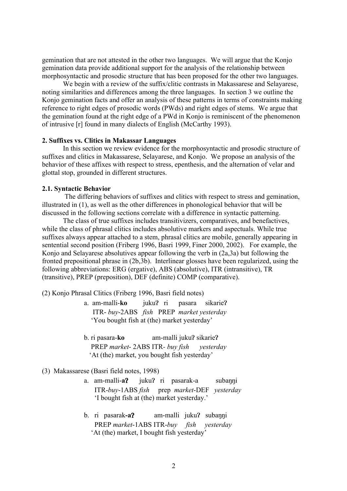gemination that are not attested in the other two languages. We will argue that the Konjo gemination data provide additional support for the analysis of the relationship between morphosyntactic and prosodic structure that has been proposed for the other two languages.

We begin with a review of the suffix/clitic contrasts in Makassarese and Selayarese, noting similarities and differences among the three languages. In section 3 we outline the Konjo gemination facts and offer an analysis of these patterns in terms of constraints making reference to right edges of prosodic words (PWds) and right edges of stems. We argue that the gemination found at the right edge of a PWd in Konjo is reminiscent of the phenomenon of intrusive [r] found in many dialects of English (McCarthy 1993).

#### **2. Suffixes vs. Clitics in Makassar Languages**

In this section we review evidence for the morphosyntactic and prosodic structure of suffixes and clitics in Makassarese, Selayarese, and Konjo. We propose an analysis of the behavior of these affixes with respect to stress, epenthesis, and the alternation of velar and glottal stop, grounded in different structures.

#### **2.1. Syntactic Behavior**

 The differing behaviors of suffixes and clitics with respect to stress and gemination, illustrated in (1), as well as the other differences in phonological behavior that will be discussed in the following sections correlate with a difference in syntactic patterning.

The class of true suffixes includes transitivizers, comparatives, and benefactives, while the class of phrasal clitics includes absolutive markers and aspectuals. While true suffixes always appear attached to a stem, phrasal clitics are mobile, generally appearing in sentential second position (Friberg 1996, Basri 1999, Finer 2000, 2002). For example, the Konjo and Selayarese absolutives appear following the verb in (2a,3a) but following the fronted prepositional phrase in (2b,3b). Interlinear glosses have been regularized, using the following abbreviations: ERG (ergative), ABS (absolutive), ITR (intransitive), TR (transitive), PREP (preposition), DEF (definite) COMP (comparative).

(2) Konjo Phrasal Clitics (Friberg 1996, Basri field notes)

- a. am-malli-ko juku? ri pasara sikarie? ITR- *buy*-2ABS *fish* PREP *market yesterday* 'You bought fish at (the) market yesterday'
- b. ri pasara-**ko** am-malli juku? sikarie? PREP *market*- 2ABS ITR*- buy fish yesterday* 'At (the) market, you bought fish yesterday'

#### (3) Makassarese (Basri field notes, 1998)

- a. am-malli-a? juku? ri pasarak-a subanni ITR-*buy*-1ABS *fish* prep *market*-DEF *yesterday* 'I bought fish at (the) market yesterday.'
- b. ri pasarak-a? am-malli juku? subanni PREP *market*-1ABS ITR-*buy fish yesterday* 'At (the) market, I bought fish yesterday'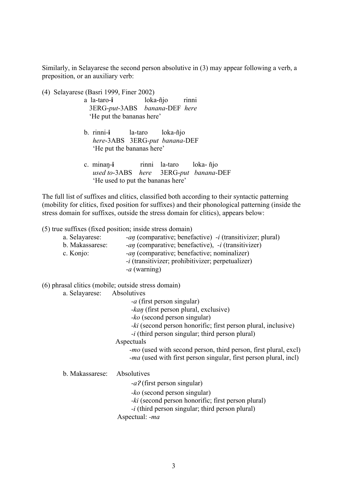Similarly, in Selayarese the second person absolutive in (3) may appear following a verb, a preposition, or an auxiliary verb:

- (4) Selayarese (Basri 1999, Finer 2002)
	- a la-taro-**i** loka-ñjo rinni 3ERG-*put*-3ABS *banana*-DEF *here* 'He put the bananas here'
	- b. rinni-**i** la-taro loka-ñjo *here*-3ABS 3ERG*-put banana-*DEF 'He put the bananas here'
	- c. minan-i rinni la-taro loka- ñjo *used to*-3ABS *here* 3ERG-*put banana*-DEF 'He used to put the bananas here'

The full list of suffixes and clitics, classified both according to their syntactic patterning (mobility for clitics, fixed position for suffixes) and their phonological patterning (inside the stress domain for suffixes, outside the stress domain for clitics), appears below:

(5) true suffixes (fixed position; inside stress domain)

| a. Selayarese:  | <i>-an</i> (comparative; benefactive) <i>-i</i> (transitivizer; plural) |
|-----------------|-------------------------------------------------------------------------|
| b. Makassarese: | -an (comparative; benefactive), $-i$ (transitivizer)                    |
| c. Konjo:       | $-\alpha\eta$ (comparative; benefactive; nominalizer)                   |
|                 | $-i$ (transitivizer; prohibitivizer; perpetualizer)                     |
|                 | $-a$ (warning)                                                          |

(6) phrasal clitics (mobile; outside stress domain)

a. Selayarese: Absolutives

*-a* (first person singular)

*-kan* (first person plural, exclusive)

*-ko* (second person singular)

*-ki* (second person honorific; first person plural, inclusive)

*-i* (third person singular; third person plural)

**Aspectuals** 

 *-mo* (used with second person, third person, first plural, excl) *-ma* (used with first person singular, first person plural, incl)

b. Makassarese: Absolutives

-a? (first person singular)

*-ko* (second person singular)

*-ki* (second person honorific; first person plural)

*-i* (third person singular; third person plural)

Aspectual: *-ma*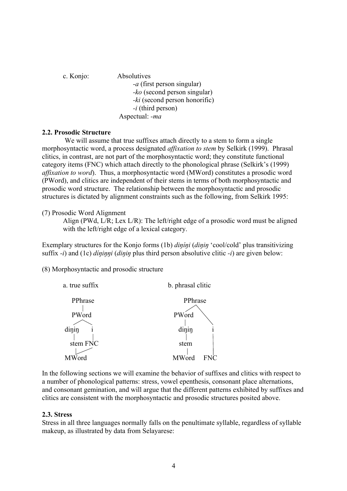c. Konjo: Absolutives *-a* (first person singular) *-ko* (second person singular) *-ki* (second person honorific) *-i* (third person) Aspectual: *-ma*

### **2.2. Prosodic Structure**

 We will assume that true suffixes attach directly to a stem to form a single morphosyntactic word, a process designated *affixation to stem* by Selkirk (1999). Phrasal clitics, in contrast, are not part of the morphosyntactic word; they constitute functional category items (FNC) which attach directly to the phonological phrase (Selkirk's (1999) *affixation to word*). Thus, a morphosyntactic word (MWord) constitutes a prosodic word (PWord), and clitics are independent of their stems in terms of both morphosyntactic and prosodic word structure. The relationship between the morphosyntactic and prosodic structures is dictated by alignment constraints such as the following, from Selkirk 1995:

### (7) Prosodic Word Alignment

Align (PWd, L/R; Lex L/R): The left/right edge of a prosodic word must be aligned with the left/right edge of a lexical category.

Exemplary structures for the Konjo forms (1b) *dinini* (*dinin* 'cool/cold' plus transitivizing suffix  $-i$ ) and (1c) *dininni* (*dinin* plus third person absolutive clitic  $-i$ ) are given below:

(8) Morphosyntactic and prosodic structure



In the following sections we will examine the behavior of suffixes and clitics with respect to a number of phonological patterns: stress, vowel epenthesis, consonant place alternations, and consonant gemination, and will argue that the different patterns exhibited by suffixes and clitics are consistent with the morphosyntactic and prosodic structures posited above.

### **2.3. Stress**

Stress in all three languages normally falls on the penultimate syllable, regardless of syllable makeup, as illustrated by data from Selayarese: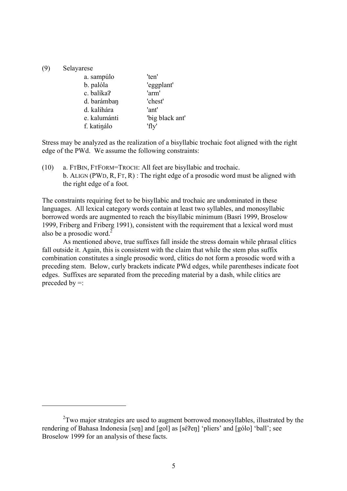### (9) Selayarese

 $\overline{a}$ 

| a. sampúlo   | 'ten'           |
|--------------|-----------------|
| b. palóla    | 'eggplant'      |
| c. balíka?   | 'arm'           |
| d. barámban  | 'chest'         |
| d. kalihára  | 'ant'           |
| e. kalumánti | 'big black ant' |
| f. katinálo  | 'fly'           |

Stress may be analyzed as the realization of a bisyllabic trochaic foot aligned with the right edge of the PWd. We assume the following constraints:

(10) a. FTBIN, FTFORM=TROCH: All feet are bisyllabic and trochaic. b. ALIGN (PWD, R, FT, R) : The right edge of a prosodic word must be aligned with the right edge of a foot.

The constraints requiring feet to be bisyllabic and trochaic are undominated in these languages. All lexical category words contain at least two syllables, and monosyllabic borrowed words are augmented to reach the bisyllabic minimum (Basri 1999, Broselow 1999, Friberg and Friberg 1991), consistent with the requirement that a lexical word must also be a prosodic word. $^{2}$ 

As mentioned above, true suffixes fall inside the stress domain while phrasal clitics fall outside it. Again, this is consistent with the claim that while the stem plus suffix combination constitutes a single prosodic word, clitics do not form a prosodic word with a preceding stem. Below, curly brackets indicate PWd edges, while parentheses indicate foot edges. Suffixes are separated from the preceding material by a dash, while clitics are preceded by  $=$ :

 $2$ Two major strategies are used to augment borrowed monosyllables, illustrated by the rendering of Bahasa Indonesia [sen] and [gol] as [sé?en] 'pliers' and [gólo] 'ball'; see Broselow 1999 for an analysis of these facts.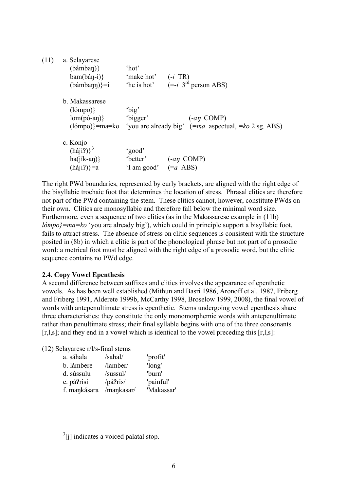| (11) | a. Selayarese<br>(bámban)<br>$bam(bán-i)$<br>$(bámbann)\}=i$                        | 'hot'<br>'make hot'               | $(-i$ TR)<br>'he is hot' $(= -i \ 3rd \text{ person ABS})$                                        |
|------|-------------------------------------------------------------------------------------|-----------------------------------|---------------------------------------------------------------------------------------------------|
|      | b. Makassarese<br>(lómpo)<br>$\text{lom}(p\acute{o}$ -an $)\}$<br>$(lómpo)$ }=ma=ko | 'big'<br>'bigger'                 | $(-a\eta \text{ COMP})$<br>'you are already big' $(=ma \text{ aspectual}, =ko 2 \text{ sg. ABS})$ |
|      | c. Konjo<br>$(háji?)^3$<br>$ha(iik-an)$<br>$(háji?)$ =a                             | 'good'<br>'better'<br>'I am good' | $(-a\eta \text{ COMP})$<br>$(=a$ ABS)                                                             |

The right PWd boundaries, represented by curly brackets, are aligned with the right edge of the bisyllabic trochaic foot that determines the location of stress. Phrasal clitics are therefore not part of the PWd containing the stem. These clitics cannot, however, constitute PWds on their own. Clitics are monosyllabic and therefore fall below the minimal word size. Furthermore, even a sequence of two clitics (as in the Makassarese example in (11b) *lómpo}=ma=ko* 'you are already big'), which could in principle support a bisyllabic foot, fails to attract stress. The absence of stress on clitic sequences is consistent with the structure posited in (8b) in which a clitic is part of the phonological phrase but not part of a prosodic word: a metrical foot must be aligned with the right edge of a prosodic word, but the clitic sequence contains no PWd edge.

### **2.4. Copy Vowel Epenthesis**

A second difference between suffixes and clitics involves the appearance of epenthetic vowels. As has been well established (Mithun and Basri 1986, Aronoff et al. 1987, Friberg and Friberg 1991, Alderete 1999b, McCarthy 1998, Broselow 1999, 2008), the final vowel of words with antepenultimate stress is epenthetic. Stems undergoing vowel epenthesis share three characteristics: they constitute the only monomorphemic words with antepenultimate rather than penultimate stress; their final syllable begins with one of the three consonants  $[r, l, s]$ ; and they end in a vowel which is identical to the vowel preceding this  $[r, l, s]$ :

(12) Selayarese r/l/s-final stems

 $\overline{a}$ 

| a. sáhala    | /sahal/      | 'profit'   |
|--------------|--------------|------------|
| b. lámbere   | /lamber/     | 'long'     |
| d. sússulu   | /sussul/     | 'burn'     |
| e. pá?risi   | $\pi$ á?ris/ | 'painful'  |
| f. mankásara | /mankasar/   | 'Makassar' |
|              |              |            |

 $3$ [j] indicates a voiced palatal stop.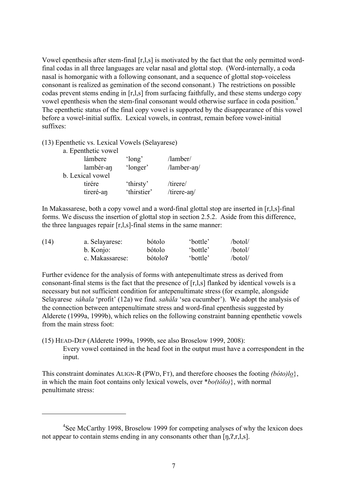Vowel epenthesis after stem-final [r,l,s] is motivated by the fact that the only permitted wordfinal codas in all three languages are velar nasal and glottal stop. (Word-internally, a coda nasal is homorganic with a following consonant, and a sequence of glottal stop-voiceless consonant is realized as gemination of the second consonant.) The restrictions on possible codas prevent stems ending in [r,l,s] from surfacing faithfully, and these stems undergo copy vowel epenthesis when the stem-final consonant would otherwise surface in coda position.4 The epenthetic status of the final copy vowel is supported by the disappearance of this vowel before a vowel-initial suffix. Lexical vowels, in contrast, remain before vowel-initial suffixes:

(13) Epenthetic vs. Lexical Vowels (Selayarese)

 $\overline{a}$ 

| a. Epenthetic vowel |             |                   |
|---------------------|-------------|-------------------|
| lámbere             | 'long'      | /lamber/          |
| lambér-an           | 'longer'    | $/$ lamber-an $/$ |
| b. Lexical vowel    |             |                   |
| tirére              | 'thirsty'   | /tirere/          |
| tireré-an           | 'thirstier' | /tirere-an/       |

In Makassarese, both a copy vowel and a word-final glottal stop are inserted in [r,l,s]-final forms. We discuss the insertion of glottal stop in section 2.5.2. Aside from this difference, the three languages repair [r,l,s]-final stems in the same manner:

| (14) | a. Selayarese:  | bótolo  | 'bottle' | /botol/ |
|------|-----------------|---------|----------|---------|
|      | b. Konjo:       | bótolo  | 'bottle' | /botol/ |
|      | c. Makassarese: | bótolo? | 'bottle' | /botol/ |

Further evidence for the analysis of forms with antepenultimate stress as derived from consonant-final stems is the fact that the presence of [r,l,s] flanked by identical vowels is a necessary but not sufficient condition for antepenultimate stress (for example, alongside Selayarese *sáhala* 'profit' (12a) we find. *sahála* 'sea cucumber'). We adopt the analysis of the connection between antepenultimate stress and word-final epenthesis suggested by Alderete (1999a, 1999b), which relies on the following constraint banning epenthetic vowels from the main stress foot:

(15) HEAD-DEP (Alderete 1999a, 1999b, see also Broselow 1999, 2008): Every vowel contained in the head foot in the output must have a correspondent in the input.

This constraint dominates ALIGN-R (PWD, FT), and therefore chooses the footing *(bóto)lo*}, in which the main foot contains only lexical vowels, over \**bo(tólo)*}, with normal penultimate stress:

<sup>&</sup>lt;sup>4</sup>See McCarthy 1998, Broselow 1999 for competing analyses of why the lexicon does not appear to contain stems ending in any consonants other than  $[\eta,2,r,l,s]$ .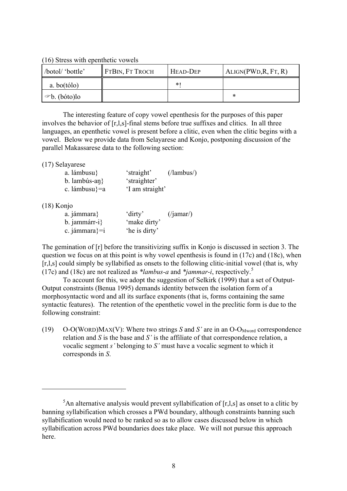(16) Stress with epenthetic vowels

| /botol/ 'bottle'                                     | FTBIN, FT TROCH | HEAD-DEP | ALIGN(PWD,R, FT, R) |
|------------------------------------------------------|-----------------|----------|---------------------|
| $a.$ bo $(tólo)$                                     |                 | ∗        |                     |
| $\blacktriangleright$ $\blacktriangleright$ (bóto)lo |                 |          | ∗                   |

The interesting feature of copy vowel epenthesis for the purposes of this paper involves the behavior of [r,l,s]-final stems before true suffixes and clitics. In all three languages, an epenthetic vowel is present before a clitic, even when the clitic begins with a vowel. Below we provide data from Selayarese and Konjo, postponing discussion of the parallel Makassarese data to the following section:

(17) Selayarese

| a. lámbusu}       | 'straight'      | $( /$ lambus $/ )$ |
|-------------------|-----------------|--------------------|
| b. lambús-an $\}$ | 'straighter'    |                    |
| c. lámbusu}=a     | 'I am straight' |                    |

#### (18) Konjo

 $\overline{a}$ 

| a. jámmara}         | 'dirty'       | $\frac{1}{\gamma}$ (/jamar/) |
|---------------------|---------------|------------------------------|
| $b.$ jammárr-i $\}$ | 'make dirty'  |                              |
| c. jámmara}= $i$    | 'he is dirty' |                              |

The gemination of [r] before the transitivizing suffix in Konjo is discussed in section 3. The question we focus on at this point is why vowel epenthesis is found in (17c) and (18c), when [r,l,s] could simply be syllabified as onsets to the following clitic-initial vowel (that is, why (17c) and (18c) are not realized as *\*lambus-a* and *\*jammar-i*, respectively.<sup>5</sup>

To account for this, we adopt the suggestion of Selkirk (1999) that a set of Output-Output constraints (Benua 1995) demands identity between the isolation form of a morphosyntactic word and all its surface exponents (that is, forms containing the same syntactic features). The retention of the epenthetic vowel in the preclitic form is due to the following constraint:

(19) O-O(WORD)MAX(V): Where two strings *S* and *S'* are in an O-O<sub>Mword</sub> correspondence relation and *S* is the base and *S'* is the affiliate of that correspondence relation, a vocalic segment *s'* belonging to *S'* must have a vocalic segment to which it corresponds in *S*.

<sup>&</sup>lt;sup>5</sup>An alternative analysis would prevent syllabification of  $[r, l, s]$  as onset to a clitic by banning syllabification which crosses a PWd boundary, although constraints banning such syllabification would need to be ranked so as to allow cases discussed below in which syllabification across PWd boundaries does take place. We will not pursue this approach here.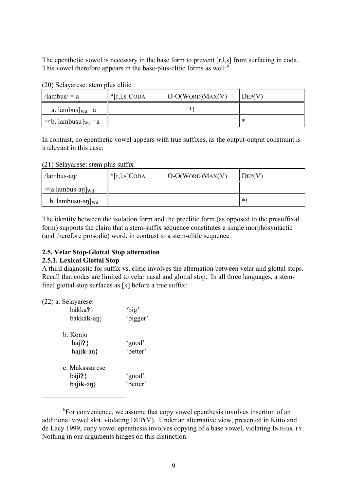The epenthetic vowel is necessary in the base form to prevent [r, l, s] from surfacing in coda. This vowel therefore appears in the base-plus-clitic forms as well:<sup>6</sup>

| (20) Selayarese: stem plus clitic |  |  |  |
|-----------------------------------|--|--|--|
|-----------------------------------|--|--|--|

| $\lambda$ lambus $\lambda$ = a                           | $\ast$ [r,l,s]CODA | $O-O(WORD)MAX(V)$ | $Dep(V)$ |
|----------------------------------------------------------|--------------------|-------------------|----------|
| a. lambus $\vert_{\text{Wd}} = a$                        |                    | $\ast$            |          |
| $\mathbf{a} \in \mathbf{b}$ . lambusu] <sub>Wd</sub> = a |                    |                   |          |

In contrast, no epenthetic vowel appears with true suffixes, as the output-output constraint is irrelevant in this case:

### (21) Selayarese: stem plus suffix

| $\lambda$ lambus-an $\lambda$            | $\ast$ [r,l,s]CODA | $\overline{O-O(WORD)MAX(V)}$ | DEF(V) |
|------------------------------------------|--------------------|------------------------------|--------|
| $\mathcal{F}$ a.lambus-an] <sub>Wd</sub> |                    |                              |        |
| b. lambusu-an $\vert_{\text{Wd}}$        |                    |                              | $\ast$ |

The identity between the isolation form and the preclitic form (as opposed to the presuffixal form) supports the claim that a stem-suffix sequence constitutes a single morphosyntactic (and therefore prosodic) word, in contrast to a stem-clitic sequence.

# **2.5. Velar Stop-Glottal Stop alternation**

### **2.5.1. Lexical Glottal Stop**

A third diagnostic for suffix vs. clitic involves the alternation between velar and glottal stops. Recall that codas are limited to velar nasal and glottal stop. In all three languages, a stemfinal glottal stop surfaces as [k] before a true suffix:

(22) a. Selayarese:

 $\overline{a}$ 

| bákka?}<br>bakká <b>k</b> -an}                           | 'big'<br>'bigger'  |
|----------------------------------------------------------|--------------------|
| b. Konjo<br>háji?<br>$hajik-an$                          | 'good'<br>'better' |
| c. Makassarese<br>$b$ áji $P$ }<br>$b$ ají <b>k</b> -an} | 'good'<br>'better' |

<sup>&</sup>lt;sup>6</sup>For convenience, we assume that copy vowel epenthesis involves insertion of an additional vowel slot, violating DEP(V). Under an alternative view, presented in Kitto and de Lacy 1999, copy vowel epenthesis involves copying of a base vowel, violating INTEGRITY. Nothing in our arguments hinges on this distinction.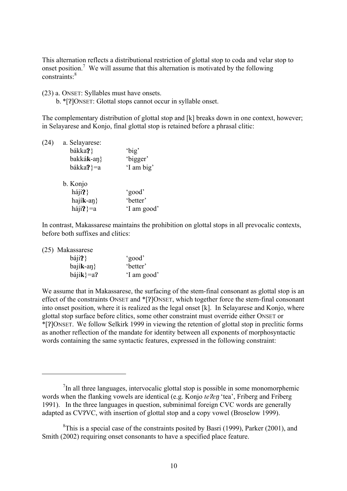This alternation reflects a distributional restriction of glottal stop to coda and velar stop to onset position.<sup>7</sup> We will assume that this alternation is motivated by the following constraints:<sup>8</sup>

(23) a. ONSET: Syllables must have onsets.

b. \*[?]ONSET: Glottal stops cannot occur in syllable onset.

The complementary distribution of glottal stop and [k] breaks down in one context, however; in Selayarese and Konjo, final glottal stop is retained before a phrasal clitic:

| (24) | a. Selayarese:      |             |
|------|---------------------|-------------|
|      | bákka?}             | 'big'       |
|      | bakká <b>k</b> -an} | 'bigger'    |
|      | bákka?}=a           | 'I am big'  |
|      | b. Konjo            |             |
|      | háji?               | 'good'      |
|      | hají <b>k</b> -an}  | 'better'    |
|      | háji?}=a            | 'I am good' |
|      |                     |             |

In contrast, Makassarese maintains the prohibition on glottal stops in all prevocalic contexts, before both suffixes and clitics:

(25) Makassarese

 $\overline{a}$ 

| báji?            | 'good'      |
|------------------|-------------|
| $b$ ajík-an $\}$ | 'better'    |
| $b$ ájik}=a?     | 'I am good' |

We assume that in Makassarese, the surfacing of the stem-final consonant as glottal stop is an effect of the constraints ONSET and \*[?]ONSET, which together force the stem-final consonant into onset position, where it is realized as the legal onset [k]. In Selayarese and Konjo, where glottal stop surface before clitics, some other constraint must override either ONSET or \*[!]ONSET. We follow Selkirk 1999 in viewing the retention of glottal stop in preclitic forms as another reflection of the mandate for identity between all exponents of morphosyntactic words containing the same syntactic features, expressed in the following constraint:

 $7$ In all three languages, intervocalic glottal stop is possible in some monomorphemic words when the flanking vowels are identical (e.g. Konjo *te ?en* 'tea', Friberg and Friberg 1991). In the three languages in question, subminimal foreign CVC words are generally adapted as CV?VC, with insertion of glottal stop and a copy vowel (Broselow 1999).

 ${}^{8}$ This is a special case of the constraints posited by Basri (1999), Parker (2001), and Smith (2002) requiring onset consonants to have a specified place feature.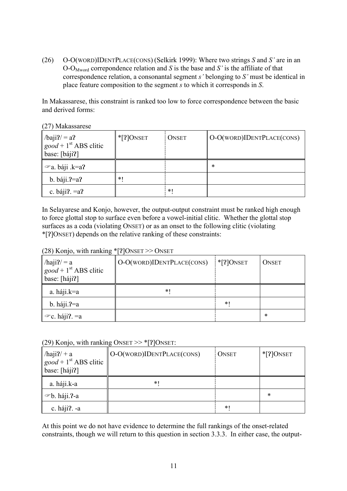(26) O-O(WORD)IDENTPLACE(CONS) (Selkirk 1999): Where two strings *S* and *S'* are in an O-OMword correpondence relation and *S* is the base and *S'* is the affiliate of that correspondence relation, a consonantal segment *s'* belonging to *S'* must be identical in place feature composition to the segment *s* to which it corresponds in *S*.

In Makassarese, this constraint is ranked too low to force correspondence between the basic and derived forms:

(27) Makassarese

| $/b$ aji?/ = a?<br>$good + 1st ABS \text{ clitic}$<br>base: [báji?] | $*$ [?] ONSET | <b>ONSET</b> | O-O(WORD)IDENTPLACE(CONS) |
|---------------------------------------------------------------------|---------------|--------------|---------------------------|
| $\infty$ a. báji .k=a?                                              |               |              | ∗                         |
| $b.$ báji.?=a?                                                      | $*$ (         |              |                           |
| c. $báji? = a?$                                                     |               | $*1$         |                           |

In Selayarese and Konjo, however, the output-output constraint must be ranked high enough to force glottal stop to surface even before a vowel-initial clitic. Whether the glottal stop surfaces as a coda (violating ONSET) or as an onset to the following clitic (violating \*[!]ONSET) depends on the relative ranking of these constraints:

# (28) Konjo, with ranking  $\frac{1}{2}$ [?]ONSET >> ONSET

| $/haji? = a$<br>$good + 1st ABS clitic$<br>base: [háji?] | O-O(WORD)IDENTPLACE(CONS) | $*$ [?] ONSET | <b>ONSET</b> |
|----------------------------------------------------------|---------------------------|---------------|--------------|
| a. háji.k=a                                              | *1                        |               |              |
| $b. \hbox{háji.}$ ?=a                                    |                           | $\ast$        |              |
| $\infty$ c. háji?. = a                                   |                           |               | $\ast$       |

(29) Konjo, with ranking  $\text{ONSET} \gg \text{*[7]ONSET}$ :

| $/haji?$ + a<br>$\left[ good + 1st ABS \text{ clitic}\right]$<br>base: [háji?] | O-O(WORD)IDENTPLACE(CONS) | <b>ONSET</b> | $*$ [?] ONSET |
|--------------------------------------------------------------------------------|---------------------------|--------------|---------------|
| a. háji.k-a                                                                    | $\ast$ (                  |              |               |
| $\infty$ b. háji.?-a                                                           |                           |              | $\ast$        |
| c. háji?. -a                                                                   |                           | $\ast$       |               |

At this point we do not have evidence to determine the full rankings of the onset-related constraints, though we will return to this question in section 3.3.3. In either case, the output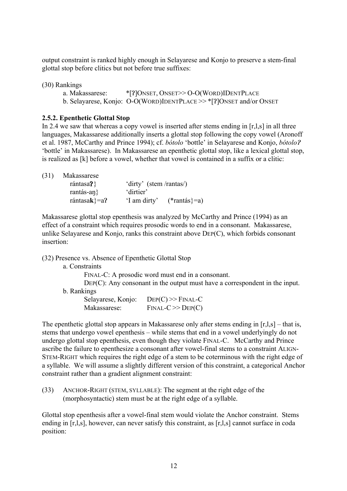output constraint is ranked highly enough in Selayarese and Konjo to preserve a stem-final glottal stop before clitics but not before true suffixes:

(30) Rankings

a. Makassarese: \*[?]ONSET, ONSET>> O-O(WORD)IDENTPLACE b. Selayarese, Konjo:  $\overline{O-O(WORD)I}$ DENT $P LACE \geq \times$ \*[?] $\overline{O}$ NSET and/or  $\overline{O}$ NSET

### **2.5.2. Epenthetic Glottal Stop**

In 2.4 we saw that whereas a copy vowel is inserted after stems ending in [r,l,s] in all three languages, Makassarese additionally inserts a glottal stop following the copy vowel (Aronoff et al. 1987, McCarthy and Prince 1994); cf. *bótolo* 'bottle' in Selayarese and Konjo, *bótolo*! 'bottle' in Makassarese). In Makassarese an epenthetic glottal stop, like a lexical glottal stop, is realized as [k] before a vowel, whether that vowel is contained in a suffix or a clitic:

| (31) | Makassarese               |                         |                |
|------|---------------------------|-------------------------|----------------|
|      | rántasa $\}$              | 'dirty' (stem /rantas/) |                |
|      | rantás-an $\}$            | 'dirtier'               |                |
|      | rántasa $\mathbf{k}$ }=a? | 'I am dirty'            | $(*rantás}=a)$ |
|      |                           |                         |                |

Makassarese glottal stop epenthesis was analyzed by McCarthy and Prince (1994) as an effect of a constraint which requires prosodic words to end in a consonant. Makassarese, unlike Selayarese and Konjo, ranks this constraint above DEP(C), which forbids consonant insertion:

(32) Presence vs. Absence of Epenthetic Glottal Stop

a. Constraints

FINAL-C: A prosodic word must end in a consonant.

DEP(C): Any consonant in the output must have a correspondent in the input.

b. Rankings

| Selayarese, Konjo: | $Der(C) \gg \text{FinAL-C}$        |
|--------------------|------------------------------------|
| Makassarese:       | $\text{FINAL-C} \gg \text{Dep}(C)$ |

The epenthetic glottal stop appears in Makassarese only after stems ending in [r,l,s] – that is, stems that undergo vowel epenthesis – while stems that end in a vowel underlyingly do not undergo glottal stop epenthesis, even though they violate FINAL-C. McCarthy and Prince ascribe the failure to epenthesize a consonant after vowel-final stems to a constraint ALIGN-STEM-RIGHT which requires the right edge of a stem to be coterminous with the right edge of a syllable. We will assume a slightly different version of this constraint, a categorical Anchor constraint rather than a gradient alignment constraint:

(33) ANCHOR-RIGHT (STEM, SYLLABLE): The segment at the right edge of the (morphosyntactic) stem must be at the right edge of a syllable.

Glottal stop epenthesis after a vowel-final stem would violate the Anchor constraint. Stems ending in [r,l,s], however, can never satisfy this constraint, as [r,l,s] cannot surface in coda position: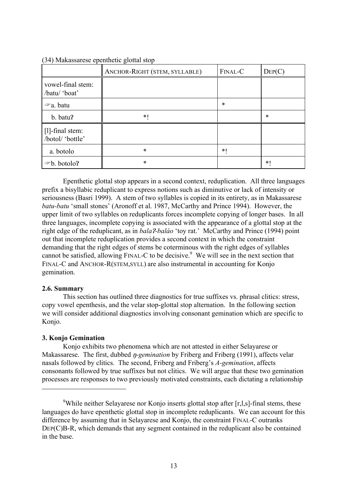|                                        | ANCHOR-RIGHT (STEM, SYLLABLE) | FINAL-C | $\text{Dep}(C)$ |
|----------------------------------------|-------------------------------|---------|-----------------|
| vowel-final stem:<br>/batu/ 'boat'     |                               |         |                 |
| $\infty$ a. batu                       |                               | $\ast$  |                 |
| b. batu?                               | $*1$                          |         | *               |
| $[1]$ -final stem:<br>/botol/ 'bottle' |                               |         |                 |
| a. botolo                              | $\ast$                        | $*1$    |                 |
| $\infty$ b. botolo?                    | $\ast$                        |         | *1              |

(34) Makassarese epenthetic glottal stop

Epenthetic glottal stop appears in a second context, reduplication. All three languages prefix a bisyllabic reduplicant to express notions such as diminutive or lack of intensity or seriousness (Basri 1999). A stem of two syllables is copied in its entirety, as in Makassarese *batu-batu* 'small stones' (Aronoff et al. 1987, McCarthy and Prince 1994). However, the upper limit of two syllables on reduplicants forces incomplete copying of longer bases. In all three languages, incomplete copying is associated with the appearance of a glottal stop at the right edge of the reduplicant, as in *bala*?*-baláo* 'toy rat.' McCarthy and Prince (1994) point out that incomplete reduplication provides a second context in which the constraint demanding that the right edges of stems be coterminous with the right edges of syllables cannot be satisfied, allowing  $FINAL-C$  to be decisive.<sup>9</sup> We will see in the next section that FINAL-C and ANCHOR-R(STEM,SYLL) are also instrumental in accounting for Konjo gemination.

### **2.6. Summary**

 $\overline{a}$ 

This section has outlined three diagnostics for true suffixes vs. phrasal clitics: stress, copy vowel epenthesis, and the velar stop-glottal stop alternation. In the following section we will consider additional diagnostics involving consonant gemination which are specific to Konjo.

### **3. Konjo Gemination**

Konjo exhibits two phenomena which are not attested in either Selayarese or Makassarese. The first, dubbed *n-gemination* by Friberg and Friberg (1991), affects velar nasals followed by clitics. The second, Friberg and Friberg's *A-gemination*, affects consonants followed by true suffixes but not clitics. We will argue that these two gemination processes are responses to two previously motivated constraints, each dictating a relationship

<sup>&</sup>lt;sup>9</sup>While neither Selayarese nor Konjo inserts glottal stop after [r,l,s]-final stems, these languages do have epenthetic glottal stop in incomplete reduplicants. We can account for this difference by assuming that in Selayarese and Konjo, the constraint FINAL-C outranks DEP(C)B-R, which demands that any segment contained in the reduplicant also be contained in the base.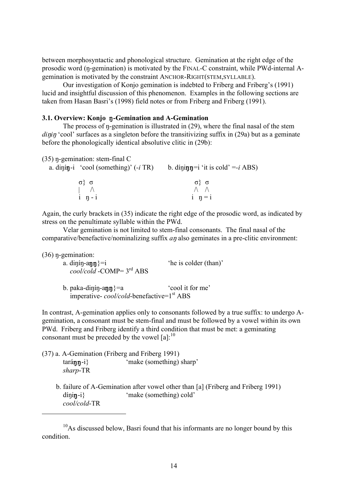between morphosyntactic and phonological structure. Gemination at the right edge of the prosodic word (n-gemination) is motivated by the FINAL-C constraint, while PWd-internal Agemination is motivated by the constraint ANCHOR-RIGHT(STEM,SYLLABLE).

Our investigation of Konjo gemination is indebted to Friberg and Friberg's (1991) lucid and insightful discussion of this phenomenon. Examples in the following sections are taken from Hasan Basri's (1998) field notes or from Friberg and Friberg (1991).

#### 3.1. Overview: Konjo n-Gemination and A-Gemination

The process of  $\eta$ -gemination is illustrated in (29), where the final nasal of the stem *dinin* 'cool' surfaces as a singleton before the transitivizing suffix in (29a) but as a geminate before the phonologically identical absolutive clitic in (29b):

| $(35)$ n-gemination: stem-final C       |                                           |
|-----------------------------------------|-------------------------------------------|
| a. dinín-i 'cool (something)' $(-i$ TR) | b. dining=i 'it is cold' =- <i>i</i> ABS) |
| $\alpha$ $\alpha$                       | $\alpha$ { $\alpha$                       |
|                                         |                                           |
| $i \eta - i$                            | $i \quad \eta = i$                        |

Again, the curly brackets in (35) indicate the right edge of the prosodic word, as indicated by stress on the penultimate syllable within the PWd.

Velar gemination is not limited to stem-final consonants. The final nasal of the comparative/benefactive/nominalizing suffix *an* also geminates in a pre-clitic environment:

 $(36)$  n-gemination:

 $\overline{a}$ 

a. din  $\{ \text{min} \}$ =i 'he is colder (than)' *cool/cold* -COMP= 3rd ABS

b. paka-dinin-ann $\rangle$ =a 'cool it for me' imperative- *cool/cold*-benefactive=1<sup>st</sup> ABS

In contrast, A-gemination applies only to consonants followed by a true suffix: to undergo Agemination, a consonant must be stem-final and must be followed by a vowel within its own PWd. Friberg and Friberg identify a third condition that must be met: a geminating consonant must be preceded by the vowel  $[a]$ :<sup>10</sup>

- (37) a. A-Gemination (Friberg and Friberg 1991)  $\{\text{tar} \land \text{in} \}$  'make (something) sharp' *sharp*-TR
	- b. failure of A-Gemination after vowel other than [a] (Friberg and Friberg 1991)  $d$ inin-i} 'make (something) cold' *cool/cold*-TR

 $10$ As discussed below, Basri found that his informants are no longer bound by this condition.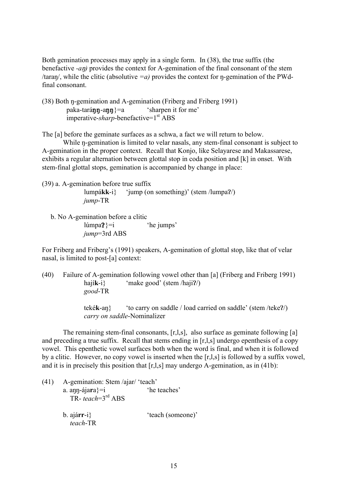Both gemination processes may apply in a single form. In (38), the true suffix (the benefactive  $-an$  provides the context for A-gemination of the final consonant of the stem /taran/, while the clitic (absolutive  $=a$ ) provides the context for n-gemination of the PWdfinal consonant.

(38) Both n-gemination and A-gemination (Friberg and Friberg 1991)  $pak$ a-taránn-ann $\} = a$  'sharpen it for me' imperative-*sharp*-benefactive=1<sup>st</sup> ABS

The [a] before the geminate surfaces as a schwa, a fact we will return to below.

While n-gemination is limited to velar nasals, any stem-final consonant is subject to A-gemination in the proper context. Recall that Konjo, like Selayarese and Makassarese, exhibits a regular alternation between glottal stop in coda position and [k] in onset. With stem-final glottal stops, gemination is accompanied by change in place:

(39) a. A-gemination before true suffix lumpá**kk**-i} 'jump (on something)' (stem /lumpa?/) *jump*-TR

 b. No A-gemination before a clitic  $lúmpa$ ?}=i 'he jumps' *jump*=3rd ABS

For Friberg and Friberg's (1991) speakers, A-gemination of glottal stop, like that of velar nasal, is limited to post-[a] context:

(40) Failure of A-gemination following vowel other than [a] (Friberg and Friberg 1991) hají**k**-i} 'make good' (stem /haji?/) *good*-TR

> teké**k**-an} 'to carry on saddle / load carried on saddle' (stem /teke?/) *carry on saddle*-Nominalizer

The remaining stem-final consonants, [r,l,s], also surface as geminate following [a] and preceding a true suffix. Recall that stems ending in [r,l,s] undergo epenthesis of a copy vowel. This epenthetic vowel surfaces both when the word is final, and when it is followed by a clitic. However, no copy vowel is inserted when the [r,l,s] is followed by a suffix vowel, and it is in precisely this position that [r,l,s] may undergo A-gemination, as in (41b):

| (41) | A-gemination: Stem /ajar/ 'teach' |                   |
|------|-----------------------------------|-------------------|
|      | a. ann-ájara}=i                   | 'he teaches'      |
|      | TR-teach= $3^{rd}$ ABS            |                   |
|      | $b.$ ajárr-i}                     | 'teach (someone)' |
|      | teach-TR                          |                   |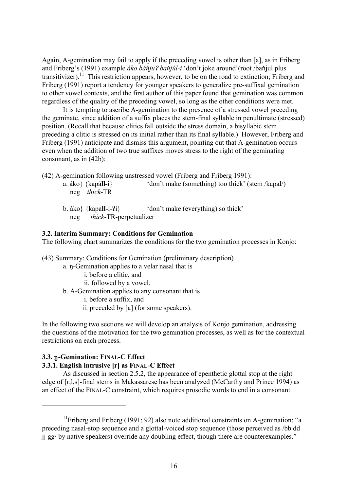Again, A-gemination may fail to apply if the preceding vowel is other than [a], as in Friberg and Friberg's (1991) example *áko báňju? baňjúl-i* 'don't joke around'(root /baňjul plus transitivizer).<sup>11</sup> This restriction appears, however, to be on the road to extinction; Friberg and Friberg (1991) report a tendency for younger speakers to generalize pre-suffixal gemination to other vowel contexts, and the first author of this paper found that gemination was common regardless of the quality of the preceding vowel, so long as the other conditions were met.

It is tempting to ascribe A-gemination to the presence of a stressed vowel preceding the geminate, since addition of a suffix places the stem-final syllable in penultimate (stressed) position. (Recall that because clitics fall outside the stress domain, a bisyllabic stem preceding a clitic is stressed on its initial rather than its final syllable.) However, Friberg and Friberg (1991) anticipate and dismiss this argument, pointing out that A-gemination occurs even when the addition of two true suffixes moves stress to the right of the geminating consonant, as in (42b):

(42) A-gemination following unstressed vowel (Friberg and Friberg 1991):

- a. áko} {kapá**ll-**i} 'don't make (something) too thick' (stem /kapal/) neg *thick*-TR
- b. áko} {kapa**ll-í-?i**} 'don't make (everything) so thick' neg *thick*-TR-perpetualizer

### **3.2. Interim Summary: Conditions for Gemination**

The following chart summarizes the conditions for the two gemination processes in Konjo:

(43) Summary: Conditions for Gemination (preliminary description)

- a. n-Gemination applies to a velar nasal that is
	- i. before a clitic, and
	- ii. followed by a vowel.
- b. A-Gemination applies to any consonant that is

i. before a suffix, and

ii. preceded by [a] (for some speakers).

In the following two sections we will develop an analysis of Konjo gemination, addressing the questions of the motivation for the two gemination processes, as well as for the contextual restrictions on each process.

#### **3.3. n-Gemination: FINAL-C Effect**

 $\overline{a}$ 

#### **3.3.1. English intrusive [r] as FINAL-C Effect**

As discussed in section 2.5.2, the appearance of epenthetic glottal stop at the right edge of [r,l,s]-final stems in Makassarese has been analyzed (McCarthy and Prince 1994) as an effect of the FINAL-C constraint, which requires prosodic words to end in a consonant.

<sup>&</sup>lt;sup>11</sup>Friberg and Friberg (1991; 92) also note additional constraints on A-gemination: "a preceding nasal-stop sequence and a glottal-voiced stop sequence (those perceived as /bb dd jj gg/ by native speakers) override any doubling effect, though there are counterexamples."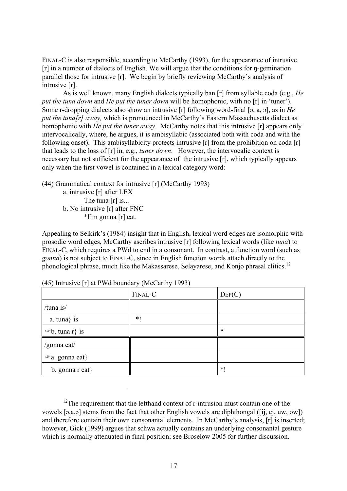FINAL-C is also responsible, according to McCarthy (1993), for the appearance of intrusive  $[r]$  in a number of dialects of English. We will argue that the conditions for  $\eta$ -gemination parallel those for intrusive [r]. We begin by briefly reviewing McCarthy's analysis of intrusive [r].

As is well known, many English dialects typically ban [r] from syllable coda (e.g., *He put the tuna down* and *He put the tuner down* will be homophonic, with no [r] in 'tuner'). Some r-dropping dialects also show an intrusive [r] following word-final [a, a,  $\sigma$ ], as in *He put the tuna[r] away*, which is pronounced in McCarthy's Eastern Massachusetts dialect as homophonic with *He put the tuner away*. McCarthy notes that this intrusive [r] appears only intervocalically, where, he argues, it is ambisyllabic (associated both with coda and with the following onset). This ambisyllabicity protects intrusive [r] from the prohibition on coda [r] that leads to the loss of [r] in, e.g., *tuner down*. However, the intervocalic context is necessary but not sufficient for the appearance of the intrusive [r], which typically appears only when the first vowel is contained in a lexical category word:

(44) Grammatical context for intrusive [r] (McCarthy 1993)

a. intrusive [r] after LEX The tuna [r] is... b. No intrusive [r] after FNC \*I'm gonna [r] eat.

Appealing to Selkirk's (1984) insight that in English, lexical word edges are isomorphic with prosodic word edges, McCarthy ascribes intrusive [r] following lexical words (like *tuna*) to FINAL-C, which requires a PWd to end in a consonant. In contrast, a function word (such as *gonna*) is not subject to FINAL-C, since in English function words attach directly to the phonological phrase, much like the Makassarese, Selayarese, and Konjo phrasal clitics.<sup>12</sup>

|                        | FINAL-C | $\text{Dep}(C)$ |
|------------------------|---------|-----------------|
| /tuna is/              |         |                 |
| $a.$ tuna} is          | $*1$    |                 |
| $\infty$ b. tuna r} is |         | $\ast$          |
| /gonna eat/            |         |                 |
| $\infty$ a. gonna eat} |         |                 |
| b. gonna $r$ eat}      |         | $*1$            |

(45) Intrusive [r] at PWd boundary (McCarthy 1993)

 $\overline{a}$ 

 $12$ The requirement that the lefthand context of r-intrusion must contain one of the vowels  $[a,a,a]$  stems from the fact that other English vowels are diphthongal ([ii, ej, uw, ow]) and therefore contain their own consonantal elements. In McCarthy's analysis, [r] is inserted; however, Gick (1999) argues that schwa actually contains an underlying consonantal gesture which is normally attenuated in final position; see Broselow 2005 for further discussion.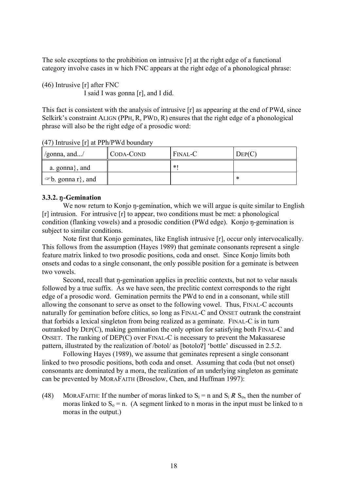The sole exceptions to the prohibition on intrusive [r] at the right edge of a functional category involve cases in w hich FNC appears at the right edge of a phonological phrase:

(46) Intrusive [r] after FNC I said I was gonna [r], and I did.

This fact is consistent with the analysis of intrusive [r] as appearing at the end of PWd, since Selkirk's constraint ALIGN (PPH, R, PWD, R) ensures that the right edge of a phonological phrase will also be the right edge of a prosodic word:

 $\gamma$ gonna, and.../  $\|$ CODA-COND  $\|$  FINAL-C  $\|$  DEP(C) a. gonna}, and  $\| *!$  $\Rightarrow$  b. gonna r}, and  $\parallel$  \*

(47) Intrusive [r] at PPh/PWd boundary

### **3.3.2. n-Gemination**

We now return to Konjo n-gemination, which we will argue is quite similar to English [r] intrusion. For intrusive [r] to appear, two conditions must be met: a phonological condition (flanking vowels) and a prosodic condition (PWd edge). Konjo n-gemination is subject to similar conditions.

Note first that Konjo geminates, like English intrusive [r], occur only intervocalically. This follows from the assumption (Hayes 1989) that geminate consonants represent a single feature matrix linked to two prosodic positions, coda and onset. Since Konjo limits both onsets and codas to a single consonant, the only possible position for a geminate is between two vowels.

Second, recall that  $\eta$ -gemination applies in preclitic contexts, but not to velar nasals followed by a true suffix. As we have seen, the preclitic context corresponds to the right edge of a prosodic word. Gemination permits the PWd to end in a consonant, while still allowing the consonant to serve as onset to the following vowel. Thus, FINAL-C accounts naturally for gemination before clitics, so long as FINAL-C and ONSET outrank the constraint that forbids a lexical singleton from being realized as a geminate. FINAL-C is in turn outranked by DEP(C), making gemination the only option for satisfying both FINAL-C and ONSET. The ranking of DEP(C) over FINAL-C is necessary to prevent the Makassarese pattern, illustrated by the realization of /botol/ as [botolo?] 'bottle' discussed in 2.5.2.

Following Hayes (1989), we assume that geminates represent a single consonant linked to two prosodic positions, both coda and onset. Assuming that coda (but not onset) consonants are dominated by a mora, the realization of an underlying singleton as geminate can be prevented by MORAFAITH (Broselow, Chen, and Huffman 1997):

(48) MORAFAITH: If the number of moras linked to  $S_i = n$  and  $S_i R S_o$ , then the number of moras linked to  $S_0 = n$ . (A segment linked to n moras in the input must be linked to n moras in the output.)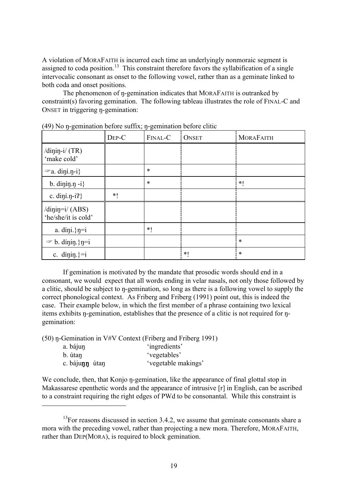A violation of MORAFAITH is incurred each time an underlyingly nonmoraic segment is assigned to coda position.<sup>13</sup> This constraint therefore favors the syllabification of a single intervocalic consonant as onset to the following vowel, rather than as a geminate linked to both coda and onset positions.

The phenomenon of n-gemination indicates that MORAFAITH is outranked by constraint(s) favoring gemination. The following tableau illustrates the role of FINAL-C and ONSET in triggering n-gemination:

|                                             | DEP-C | FINAL-C | <b>ONSET</b> | <b>MORAFAITH</b> |
|---------------------------------------------|-------|---------|--------------|------------------|
| /dinin-i/ $(TR)$<br>'make cold'             |       |         |              |                  |
| $\infty$ a. diní.n-i}                       |       | $\ast$  |              |                  |
| b. dining $-i$ }                            |       | $\ast$  |              | $*1$             |
| c. din $i$ .n-i?}                           | $*1$  |         |              |                  |
| $\dim$ j $=$ i/(ABS)<br>'he/she/it is cold' |       |         |              |                  |
| a. díni.} $\eta = i$                        |       | $*1$    |              |                  |
| $\mathcal{F}$ b. dinin.} n=i                |       |         |              | $\ast$           |
| c. dinin.}= $i$                             |       |         | $*$ (        | $\ast$           |

 $(49)$  No n-gemination before suffix; n-gemination before clitic

If gemination is motivated by the mandate that prosodic words should end in a consonant, we would expect that all words ending in velar nasals, not only those followed by a clitic, should be subject to  $\eta$ -gemination, so long as there is a following vowel to supply the correct phonological context. As Friberg and Friberg (1991) point out, this is indeed the case. Their example below, in which the first member of a phrase containing two lexical items exhibits  $\eta$ -gemination, establishes that the presence of a clitic is not required for  $\eta$ gemination:

 $(50)$  n-Gemination in V#V Context (Friberg and Friberg 1991)

| a. bájun       | 'ingredients'       |
|----------------|---------------------|
| b. útan        | 'vegetables'        |
| c. bájunn útan | 'vegetable makings' |

 $\overline{a}$ 

We conclude, then, that Konjo n-gemination, like the appearance of final glottal stop in Makassarese epenthetic words and the appearance of intrusive [r] in English, can be ascribed to a constraint requiring the right edges of PWd to be consonantal. While this constraint is

 $13$ For reasons discussed in section 3.4.2, we assume that geminate consonants share a mora with the preceding vowel, rather than projecting a new mora. Therefore, MORAFAITH, rather than DEP(MORA), is required to block gemination.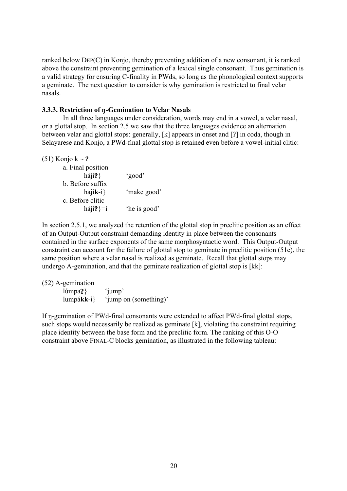ranked below DEP(C) in Konjo, thereby preventing addition of a new consonant, it is ranked above the constraint preventing gemination of a lexical single consonant. Thus gemination is a valid strategy for ensuring C-finality in PWds, so long as the phonological context supports a geminate. The next question to consider is why gemination is restricted to final velar nasals.

#### 3.3.3. Restriction of  $\eta$ -Gemination to Velar Nasals

In all three languages under consideration, words may end in a vowel, a velar nasal, or a glottal stop. In section 2.5 we saw that the three languages evidence an alternation between velar and glottal stops: generally,  $[k]$  appears in onset and  $[?]$  in coda, though in Selayarese and Konjo, a PWd-final glottal stop is retained even before a vowel-initial clitic:

| 'make good'  |
|--------------|
|              |
| 'he is good' |
|              |

In section 2.5.1, we analyzed the retention of the glottal stop in preclitic position as an effect of an Output-Output constraint demanding identity in place between the consonants contained in the surface exponents of the same morphosyntactic word. This Output-Output constraint can account for the failure of glottal stop to geminate in preclitic position (51c), the same position where a velar nasal is realized as geminate. Recall that glottal stops may undergo A-gemination, and that the geminate realization of glottal stop is [kk]:

(52) A-gemination

lúmpa?} 'jump' lumpá**kk**-i} 'jump on (something)'

If n-gemination of PWd-final consonants were extended to affect PWd-final glottal stops, such stops would necessarily be realized as geminate [k], violating the constraint requiring place identity between the base form and the preclitic form. The ranking of this O-O constraint above FINAL-C blocks gemination, as illustrated in the following tableau: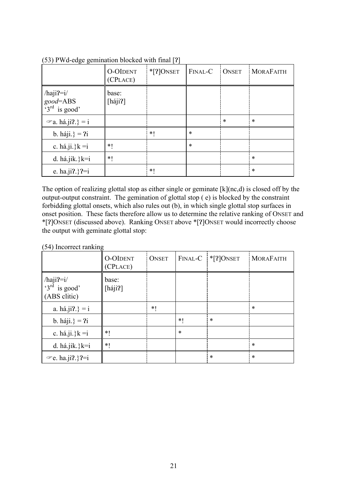|                                                           | <b>O-OIDENT</b><br>(CPLACE) | $*$ [?] ONSET | FINAL-C | <b>ONSET</b> | <b>MORAFAITH</b> |
|-----------------------------------------------------------|-----------------------------|---------------|---------|--------------|------------------|
| $/haji? = i/$<br>good=ABS<br>$\frac{6}{3}$ rd<br>is good' | base:<br>[háji?]            |               |         |              |                  |
| $\mathcal{F}$ a. há.ji?.} = i                             |                             |               |         | $\ast$       | $\ast$           |
| b. háji. $} = 2i$                                         |                             | *1            | $\ast$  |              |                  |
| c. há.ji.} $k = i$                                        | $*!$                        |               | $\ast$  |              |                  |
| d. há.jik.} $k=i$                                         | $*!$                        |               |         |              | $\ast$           |
| e. ha.ji?.}?=i                                            |                             | *1            |         |              | $\ast$           |

 $(53)$  PWd-edge gemination blocked with final [?]

The option of realizing glottal stop as either single or geminate [k](nc,d) is closed off by the output-output constraint. The gemination of glottal stop ( e) is blocked by the constraint forbidding glottal onsets, which also rules out (b), in which single glottal stop surfaces in onset position. These facts therefore allow us to determine the relative ranking of ONSET and \*[!]ONSET (discussed above). Ranking ONSET above \*[!]ONSET would incorrectly choose the output with geminate glottal stop:

| (54) Incorrect ranking |  |
|------------------------|--|
|                        |  |

|                                                    | <b>O-OIDENT</b><br>(CPLACE) | <b>ONSET</b> | FINAL-C | $*$ [?] ONSET | <b>MORAFAITH</b> |
|----------------------------------------------------|-----------------------------|--------------|---------|---------------|------------------|
| $/haji? = i/$<br>$3^{rd}$ is good'<br>(ABS clitic) | base:<br>[háji?]            |              |         |               |                  |
| a. há.ji?.} = i                                    |                             | *1           |         |               | $\ast$           |
| b. háji.} = $2i$                                   |                             |              | $*1$    | $\ast$        |                  |
| c. há.ji.} $k = i$                                 | $*1$                        |              | $\ast$  |               |                  |
| d. há.jik.} $k=i$                                  | $*1$                        |              |         |               | $\ast$           |
| $\mathcal{P}$ e. ha.ji?.}?=i                       |                             |              |         | $\ast$        | $\ast$           |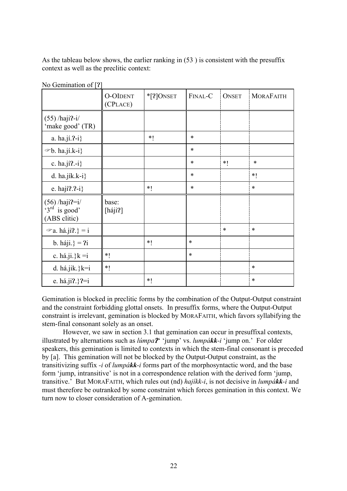As the tableau below shows, the earlier ranking in (53 ) is consistent with the presuffix context as well as the preclitic context:

|                                                       | <b>O-OIDENT</b><br>(CPLACE) | $*$ [?] ONSET | FINAL-C | <b>ONSET</b> | <b>MORAFAITH</b> |
|-------------------------------------------------------|-----------------------------|---------------|---------|--------------|------------------|
| $(55)$ /haji?-i/<br>'make good' (TR)                  |                             |               |         |              |                  |
| a. $ha.ji.2-i$ }                                      |                             | $*1$          | $\ast$  |              |                  |
| $\infty$ b. ha.jí.k-i}                                |                             |               | $\ast$  |              |                  |
| c. ha.jí?.-i}                                         |                             |               | $\ast$  | $*1$         | $\ast$           |
| d. ha.jík.k-i $\}$                                    |                             |               | $\ast$  |              | $*1$             |
| e. hají $2-i$ }                                       |                             | $*1$          | $\ast$  |              | $\ast$           |
| $(56)$ /haji?=i/<br>$3^{rd}$ is good'<br>(ABS clitic) | base:<br>[háji?]            |               |         |              |                  |
| $\mathcal{F}$ a. há.ji?.} = i                         |                             |               |         | *            | $\ast$           |
| b. háji. $} = 2i$                                     |                             | $*1$          | $\ast$  |              |                  |
| c. há.ji.} $k = i$                                    | $*1$                        |               | $\ast$  |              |                  |
| d. há.jik.} $k=i$                                     | $*1$                        |               |         |              | $\ast$           |
| e. há.ji?.}?=i                                        |                             | $*!$          |         |              | $\ast$           |

No Gemination of [?]

Gemination is blocked in preclitic forms by the combination of the Output-Output constraint and the constraint forbidding glottal onsets. In presuffix forms, where the Output-Output constraint is irrelevant, gemination is blocked by MORAFAITH, which favors syllabifying the stem-final consonant solely as an onset.

by [a]. This gemination will not be blocked by the Output-Output constraint, as the However, we saw in section 3.1 that gemination can occur in presuffixal contexts, illustrated by alternations such as *lúmpa*? 'jump' vs. *lumpákk-i* 'jump on.' For older speakers, this gemination is limited to contexts in which the stem-final consonant is preceded transitivizing suffix *-i* of *lumpákk-i* forms part of the morphosyntactic word, and the base form 'jump, intransitive' is not in a correspondence relation with the derived form 'jump, transitive.' But MORAFAITH, which rules out (nd) *hajíkk-i*, is not decisive in *lumpákk-i* and must therefore be outranked by some constraint which forces gemination in this context. We turn now to closer consideration of A-gemination.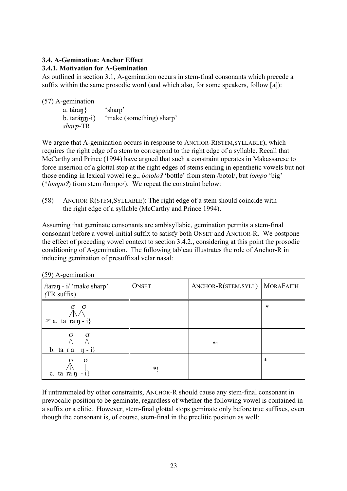#### **3.4. A-Gemination: Anchor Effect 3.4.1. Motivation for A-Gemination**

As outlined in section 3.1, A-gemination occurs in stem-final consonants which precede a suffix within the same prosodic word (and which also, for some speakers, follow [a]):

(57) A-gemination

a. tára**n** $\}$  'sharp'<br>b. tará**nn**-i} 'make 'make (something) sharp' *sharp*-TR

We argue that A-gemination occurs in response to ANCHOR-R(STEM,SYLLABLE), which requires the right edge of a stem to correspond to the right edge of a syllable. Recall that McCarthy and Prince (1994) have argued that such a constraint operates in Makassarese to force insertion of a glottal stop at the right edges of stems ending in epenthetic vowels but not those ending in lexical vowel (e.g., *botolo?* 'bottle' from stem /botol/, but *lompo* 'big' (\**lompo*!) from stem /lompo/). We repeat the constraint below:

(58) ANCHOR-R(STEM,SYLLABLE): The right edge of a stem should coincide with the right edge of a syllable (McCarthy and Prince 1994).

Assuming that geminate consonants are ambisyllabic, gemination permits a stem-final consonant before a vowel-initial suffix to satisfy both ONSET and ANCHOR-R. We postpone the effect of preceding vowel context to section 3.4.2., considering at this point the prosodic conditioning of A-gemination. The following tableau illustrates the role of Anchor-R in inducing gemination of presuffixal velar nasal:

| $\sqrt{277}$ is semination                                       |              |                      |                  |  |  |  |
|------------------------------------------------------------------|--------------|----------------------|------------------|--|--|--|
| $\frac{1}{2}$ / taran - i/ 'make sharp'<br>$(TR \text{ suffix})$ | <b>ONSET</b> | ANCHOR-R(STEM, SYLL) | <b>MORAFAITH</b> |  |  |  |
| σ<br>$\sigma$<br>$\infty$ a. ta ra $\eta$ - i}                   |              |                      | $\ast$           |  |  |  |
| $\sigma$<br>$\sigma$<br>b. ta r a $\pi - i$                      |              | $*1$                 |                  |  |  |  |
| $\sigma$<br>$_\mathbb{A}^\sigma$<br>c. ta ra $\eta$ - i}         | *1           |                      | *                |  |  |  |

 $(50)$  A-gemination

If untrammeled by other constraints, ANCHOR-R should cause any stem-final consonant in prevocalic position to be geminate, regardless of whether the following vowel is contained in a suffix or a clitic. However, stem-final glottal stops geminate only before true suffixes, even though the consonant is, of course, stem-final in the preclitic position as well: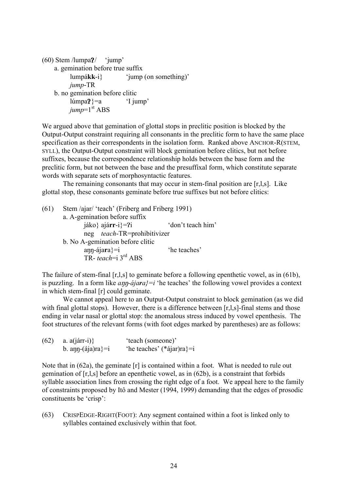```
(60) Stem /lumpa? 'jump'
a. gemination before true suffix
     lumpákk-i} 'jump (on something)'
     jump-TR
b. no gemination before clitic
    lúmpa? =a 'I jump'
    jump=1<sup>st</sup> ABS
```
We argued above that gemination of glottal stops in preclitic position is blocked by the Output-Output constraint requiring all consonants in the preclitic form to have the same place specification as their correspondents in the isolation form. Ranked above ANCHOR-R(STEM, SYLL), the Output-Output constraint will block gemination before clitics, but not before suffixes, because the correspondence relationship holds between the base form and the preclitic form, but not between the base and the presuffixal form, which constitute separate words with separate sets of morphosyntactic features.

The remaining consonants that may occur in stem-final position are [r,l,s]. Like glottal stop, these consonants geminate before true suffixes but not before clitics:

(61) Stem /ajar/ 'teach' (Friberg and Friberg 1991) a. A-gemination before suffix jáko} ajá**rr**-i}=?i 'don't teach him' neg *teach*-TR=prohibitivizer b. No A-gemination before clitic ann-ájara}=i 'he teaches' TR- *teach*=i 3rd ABS

The failure of stem-final [r,l,s] to geminate before a following epenthetic vowel, as in (61b), is puzzling. In a form like  $a_{\text{np}-d\text{j}} a_{\text{r}} = i$  the teaches' the following vowel provides a context in which stem-final [r] could geminate.

We cannot appeal here to an Output-Output constraint to block gemination (as we did with final glottal stops). However, there is a difference between [r,l,s]-final stems and those ending in velar nasal or glottal stop: the anomalous stress induced by vowel epenthesis. The foot structures of the relevant forms (with foot edges marked by parentheses) are as follows:

(62) a. a(járr-i)} 'teach (someone)' b. ann-(ája)ra}=i 'he teaches' (\*ájar)ra}=i

Note that in (62a), the geminate [r] is contained within a foot. What is needed to rule out gemination of [r,l,s] before an epenthetic vowel, as in (62b), is a constraint that forbids syllable association lines from crossing the right edge of a foot. We appeal here to the family of constraints proposed by Itô and Mester (1994, 1999) demanding that the edges of prosodic constituents be 'crisp':

(63) CRISPEDGE-RIGHT(FOOT): Any segment contained within a foot is linked only to syllables contained exclusively within that foot.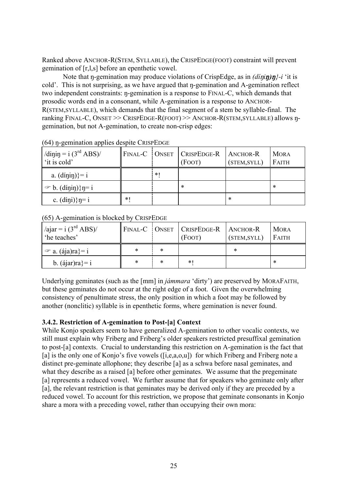Ranked above ANCHOR-R(STEM, SYLLABLE), the CRISPEDGE(FOOT) constraint will prevent gemination of [r,l,s] before an epenthetic vowel.

Note that  $\eta$ -gemination may produce violations of CrispEdge, as in  $\frac{d\eta(\eta)}{d\eta}$ ?-i 'it is cold'. This is not surprising, as we have argued that  $\eta$ -gemination and A-gemination reflect two independent constraints:  $\eta$ -gemination is a response to FINAL-C, which demands that prosodic words end in a consonant, while A-gemination is a response to ANCHOR-R(STEM,SYLLABLE), which demands that the final segment of a stem be syllable-final. The ranking FINAL-C, ONSET >> CRISPEDGE-R(FOOT) >> ANCHOR-R(STEM, SYLLABLE) allows ngemination, but not A-gemination, to create non-crisp edges:

| /dinin = $i (3rd ABS)$ /<br>'it is cold' |      |      | FINAL-C   ONSET   CRISPEDGE-R<br>(FOOT) | <b>ANCHOR-R</b><br>(STEM, SYLL) | <b>MORA</b><br>FAITH |
|------------------------------------------|------|------|-----------------------------------------|---------------------------------|----------------------|
| a. $(dipip)$ }= i                        |      | $*1$ |                                         |                                 |                      |
| $\mathcal{F}$ b. (dinin)} n= i           |      |      | $\ast$                                  |                                 | ∗                    |
| c. $(dipi)$ } $\eta = i$                 | $*1$ |      |                                         | ∗                               |                      |

 $(64)$  n-gemination applies despite CRISPEDGE

(65) A-gemination is blocked by CRISPEDGE

| /ajar = $i (3rd ABS)$ /<br>'he teaches' |   |   | FINAL-C ONSET CRISPEDGE-R   ANCHOR-R<br>(FOOT) | (STEM, SYLL) | <b>MORA</b><br>FAITH |
|-----------------------------------------|---|---|------------------------------------------------|--------------|----------------------|
| $\mathcal{F}$ a. (aja)ra}= i            | * | * |                                                | ∗            |                      |
| b. $(\text{aiar})\text{ra} = i$         | * | * | $*1$                                           |              | ∗                    |

Underlying geminates (such as the [mm] in *jámmara* 'dirty') are preserved by MORAFAITH, but these geminates do not occur at the right edge of a foot. Given the overwhelming consistency of penultimate stress, the only position in which a foot may be followed by another (nonclitic) syllable is in epenthetic forms, where gemination is never found.

### **3.4.2. Restriction of A-gemination to Post-[a] Context**

While Konjo speakers seem to have generalized A-gemination to other vocalic contexts, we still must explain why Friberg and Friberg's older speakers restricted presuffixal gemination to post-[a] contexts. Crucial to understanding this restriction on A-gemination is the fact that [a] is the only one of Konjo's five vowels ([i,e,a,o,u]) for which Friberg and Friberg note a distinct pre-geminate allophone; they describe [a] as a schwa before nasal geminates, and what they describe as a raised [a] before other geminates. We assume that the pregeminate [a] represents a reduced vowel. We further assume that for speakers who geminate only after [a], the relevant restriction is that geminates may be derived only if they are preceded by a reduced vowel. To account for this restriction, we propose that geminate consonants in Konjo share a mora with a preceding vowel, rather than occupying their own mora: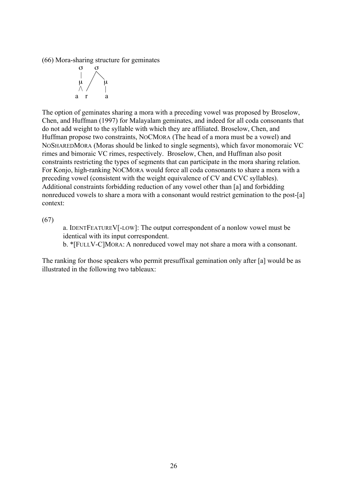(66) Mora-sharing structure for geminates



The option of geminates sharing a mora with a preceding vowel was proposed by Broselow, Chen, and Huffman (1997) for Malayalam geminates, and indeed for all coda consonants that do not add weight to the syllable with which they are affiliated. Broselow, Chen, and Huffman propose two constraints, NOCMORA (The head of a mora must be a vowel) and NOSHAREDMORA (Moras should be linked to single segments), which favor monomoraic VC rimes and bimoraic VC rimes, respectively. Broselow, Chen, and Huffman also posit constraints restricting the types of segments that can participate in the mora sharing relation. For Konjo, high-ranking NOCMORA would force all coda consonants to share a mora with a preceding vowel (consistent with the weight equivalence of CV and CVC syllables). Additional constraints forbidding reduction of any vowel other than [a] and forbidding nonreduced vowels to share a mora with a consonant would restrict gemination to the post-[a] context:

(67)

a. IDENTFEATUREV[-LOW]: The output correspondent of a nonlow vowel must be identical with its input correspondent.

b. \*[FULLV-C]MORA: A nonreduced vowel may not share a mora with a consonant.

The ranking for those speakers who permit presuffixal gemination only after [a] would be as illustrated in the following two tableaux: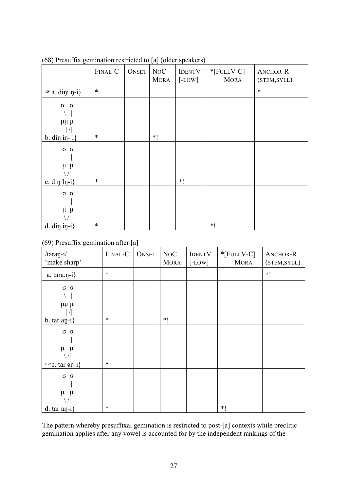| $\frac{1}{2}$                                                          |         |              |                          |                           |                              |                          |
|------------------------------------------------------------------------|---------|--------------|--------------------------|---------------------------|------------------------------|--------------------------|
|                                                                        | FINAL-C | <b>ONSET</b> | $\rm NoC$<br><b>MORA</b> | <b>IDENTV</b><br>$[-LOW]$ | $*$ [FULLV-C]<br><b>MORA</b> | ANCHOR-R<br>(STEM, SYLL) |
| $\infty$ a. dini.n-i}                                                  | $\ast$  |              |                          |                           |                              | $\ast$                   |
| $\sigma$<br>$\sigma$<br>$\mathbb N$<br>$\mu\mu\mu$                     |         |              |                          |                           |                              |                          |
| b. din in- $i$ }                                                       | $\ast$  |              | $*1$                     |                           |                              |                          |
| $\sigma$ $\sigma$<br>$\mu$ $\mu$<br>$\left \right $<br>c. din $In-i$ } | $\ast$  |              |                          | $*1$                      |                              |                          |
| $\sigma$ $\sigma$<br>$\mu$ $\mu$<br>$d.$ din in-i}                     | $\ast$  |              |                          |                           | $*1$                         |                          |

(68) Presuffix gemination restricted to [a] (older speakers)

# (69) Presuffix gemination after [a]

| $/taran-i/$<br>'make sharp'                            | FINAL-C | <b>ONSET</b> | NoC<br><b>MORA</b> | <b>IDENTV</b><br>$[$ -LOW] | $*$ [FULLV-C]<br><b>MORA</b> | ANCHOR-R<br>(STEM, SYLL) |
|--------------------------------------------------------|---------|--------------|--------------------|----------------------------|------------------------------|--------------------------|
| a. $\text{tara}.\text{n-i}$                            | $\ast$  |              |                    |                            |                              | $*1$                     |
| $\sigma$ $\sigma$<br>$\mu\mu\mu$                       |         |              |                    |                            |                              |                          |
| b. tar $a$ n-i}                                        | $\ast$  |              | $*1$               |                            |                              |                          |
| $\sigma$<br>$\sigma$<br>$\mu$ $\mu$<br>$\left \right $ |         |              |                    |                            |                              |                          |
| $\infty$ c. tar $\varphi$ <sub>1</sub> }               | $\ast$  |              |                    |                            |                              |                          |
| $\sigma$ $\sigma$<br>$\mu$<br>$\mu$<br>$\mathbb N$     |         |              |                    |                            |                              |                          |
| d. tar $an-i$ }                                        | $\ast$  |              |                    |                            | $*1$                         |                          |

The pattern whereby presuffixal gemination is restricted to post-[a] contexts while preclitic gemination applies after any vowel is accounted for by the independent rankings of the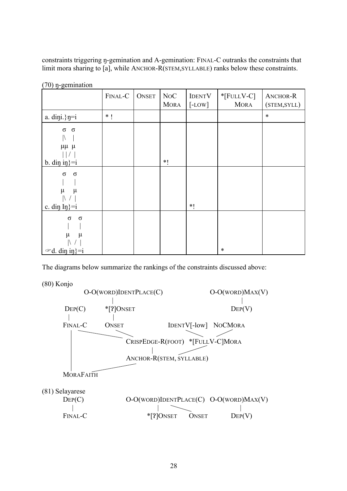constraints triggering n-gemination and A-gemination: FINAL-C outranks the constraints that limit mora sharing to [a], while ANCHOR-R(STEM,SYLLABLE) ranks below these constraints.

|                                                              | FINAL-C | <b>ONSET</b> | NoC<br><b>MORA</b> | <b>IDENTV</b><br>$[$ -LOW] | $*$ [FULLV-C]<br><b>MORA</b> | ANCHOR-R<br>(STEM, SYLL) |
|--------------------------------------------------------------|---------|--------------|--------------------|----------------------------|------------------------------|--------------------------|
| a. dini.} $\eta = i$                                         | $*1$    |              |                    |                            |                              | $\ast$                   |
| $\sigma$<br>$\sigma$<br>$\mu\mu$ $\mu$<br>b. din in $=$ i    |         |              | $*!$               |                            |                              |                          |
| $\sigma$<br>$\sigma$<br>$\mu$<br>$\mu$<br>c. din $In$ }=i    |         |              |                    | $*1$                       |                              |                          |
| $\sigma$<br>$\sigma$<br>μ<br>$\mu$<br>$\infty d$ . din in}=i |         |              |                    |                            | $\ast$                       |                          |

 $(70)$  n-gemination

The diagrams below summarize the rankings of the constraints discussed above:

(80) Konjo

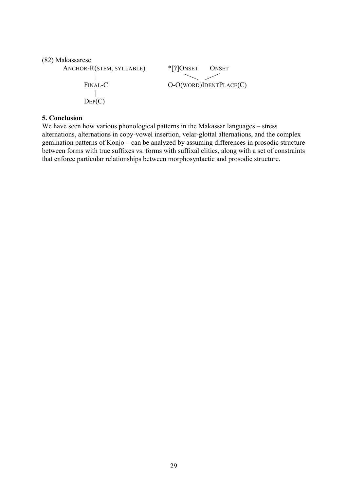```
(82) Makassarese
```

```
ANCHOR-R(STEM, SYLLABLE) *[?]ONSET ONSET
  |
 FINAL-C O-O(WORD)IDENTPLACE(C)
   \overline{\phantom{a}}|
 \text{Dep}(C)
```
### **5. Conclusion**

We have seen how various phonological patterns in the Makassar languages – stress alternations, alternations in copy-vowel insertion, velar-glottal alternations, and the complex gemination patterns of Konjo – can be analyzed by assuming differences in prosodic structure between forms with true suffixes vs. forms with suffixal clitics, along with a set of constraints that enforce particular relationships between morphosyntactic and prosodic structure.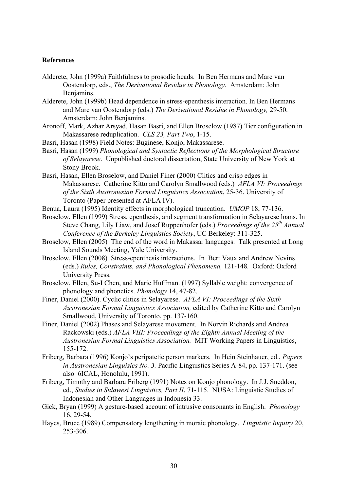#### **References**

- Alderete, John (1999a) Faithfulness to prosodic heads. In Ben Hermans and Marc van Oostendorp, eds., *The Derivational Residue in Phonology*. Amsterdam: John Benjamins.
- Alderete, John (1999b) Head dependence in stress-epenthesis interaction. In Ben Hermans and Marc van Oostendorp (eds.) *The Derivational Residue in Phonology,* 29-50. Amsterdam: John Benjamins.
- Aronoff, Mark, Azhar Arsyad, Hasan Basri, and Ellen Broselow (1987) Tier configuration in Makassarese reduplication. *CLS 23, Part Two*, 1-15.
- Basri, Hasan (1998) Field Notes: Buginese, Konjo, Makassarese.
- Basri, Hasan (1999) *Phonological and Syntactic Reflections of the Morphological Structure of Selayarese*. Unpublished doctoral dissertation, State University of New York at Stony Brook.
- Basri, Hasan, Ellen Broselow, and Daniel Finer (2000) Clitics and crisp edges in Makassarese. Catherine Kitto and Carolyn Smallwood (eds.) *AFLA VI: Proceedings of the Sixth Austronesian Formal Linguistics Association*, 25-36. University of Toronto (Paper presented at AFLA IV).
- Benua, Laura (1995) Identity effects in morphological truncation. *UMOP* 18, 77-136.
- Broselow, Ellen (1999) Stress, epenthesis, and segment transformation in Selayarese loans. In Steve Chang, Lily Liaw, and Josef Ruppenhofer (eds.) *Proceedings of the 25th Annual Conference of the Berkeley Linguistics Society*, UC Berkeley: 311-325.
- Broselow, Ellen (2005) The end of the word in Makassar languages. Talk presented at Long Island Sounds Meeting, Yale University.
- Broselow, Ellen (2008) Stress-epenthesis interactions. In Bert Vaux and Andrew Nevins (eds.) *Rules, Constraints, and Phonological Phenomena,* 121-148*.* Oxford: Oxford University Press.
- Broselow, Ellen, Su-I Chen, and Marie Huffman. (1997) Syllable weight: convergence of phonology and phonetics. *Phonology* 14, 47-82.
- Finer, Daniel (2000). Cyclic clitics in Selayarese. *AFLA VI: Proceedings of the Sixth Austronesian Formal Linguistics Association,* edited by Catherine Kitto and Carolyn Smallwood, University of Toronto, pp. 137-160.
- Finer, Daniel (2002) Phases and Selayarese movement. In Norvin Richards and Andrea Rackowski (eds.) *AFLA VIII: Proceedings of the Eighth Annual Meeting of the Austronesian Formal Linguistics Association.* MIT Working Papers in Linguistics, 155-172.
- Friberg, Barbara (1996) Konjo's peripatetic person markers. In Hein Steinhauer, ed., *Papers in Austronesian Linguisics No. 3.* Pacific Linguistics Series A-84, pp. 137-171. (see also 6ICAL, Honolulu, 1991).
- Friberg, Timothy and Barbara Friberg (1991) Notes on Konjo phonology. In J.J. Sneddon, ed., *Studies in Sulawesi Linguistics, Part II*, 71-115. NUSA: Linguistic Studies of Indonesian and Other Languages in Indonesia 33.
- Gick, Bryan (1999) A gesture-based account of intrusive consonants in English. *Phonology* 16, 29-54.
- Hayes, Bruce (1989) Compensatory lengthening in moraic phonology. *Linguistic Inquiry* 20, 253-306.